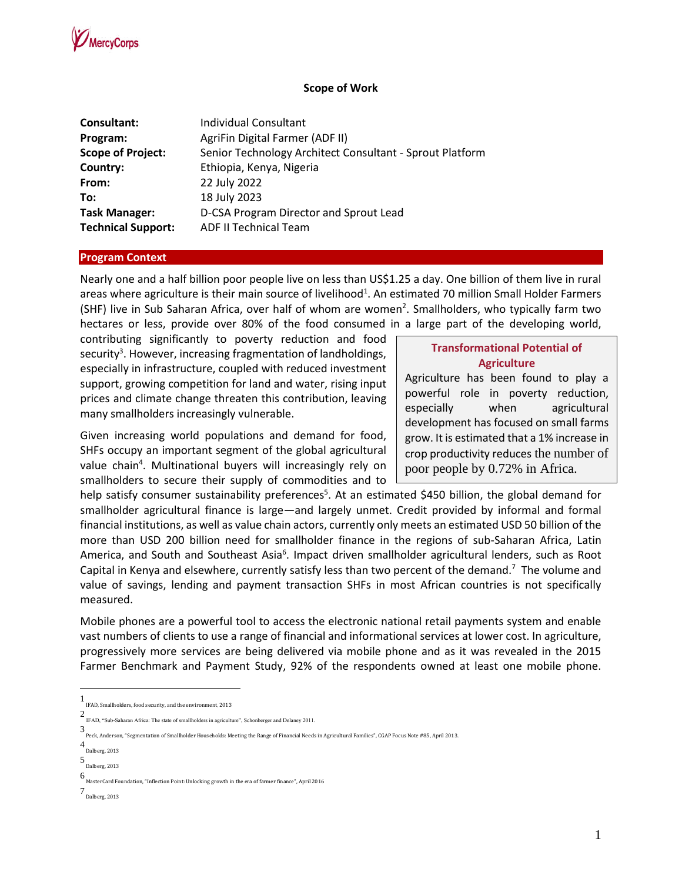

### **Scope of Work**

| Individual Consultant                                    |
|----------------------------------------------------------|
| AgriFin Digital Farmer (ADF II)                          |
| Senior Technology Architect Consultant - Sprout Platform |
| Ethiopia, Kenya, Nigeria                                 |
| 22 July 2022                                             |
| 18 July 2023                                             |
| D-CSA Program Director and Sprout Lead                   |
| <b>ADF II Technical Team</b>                             |
|                                                          |

#### **Program Context**

Nearly one and a half billion poor people live on less than US\$1.25 a day. One billion of them live in rural areas where agriculture is their main source of livelihood<sup>1</sup>. An estimated 70 million Small Holder Farmers (SHF) live in Sub Saharan Africa, over half of whom are women<sup>2</sup>. Smallholders, who typically farm two hectares or less, provide over 80% of the food consumed in a large part of the developing world,

contributing significantly to poverty reduction and food security<sup>3</sup>. However, increasing fragmentation of landholdings, especially in infrastructure, coupled with reduced investment support, growing competition for land and water, rising input prices and climate change threaten this contribution, leaving many smallholders increasingly vulnerable.

Given increasing world populations and demand for food, SHFs occupy an important segment of the global agricultural value chain<sup>4</sup>. Multinational buyers will increasingly rely on smallholders to secure their supply of commodities and to

### **Transformational Potential of Agriculture**

Agriculture has been found to play a powerful role in poverty reduction, especially when agricultural development has focused on small farms grow. It is estimated that a 1% increase in crop productivity reduces the number of poor people by 0.72% in Africa.

help satisfy consumer sustainability preferences<sup>5</sup>. At an estimated \$450 billion, the global demand for smallholder agricultural finance is large—and largely unmet. Credit provided by informal and formal financial institutions, as well as value chain actors, currently only meets an estimated USD 50 billion of the more than USD 200 billion need for smallholder finance in the regions of sub-Saharan Africa, Latin America, and South and Southeast Asia<sup>6</sup>. Impact driven smallholder agricultural lenders, such as Root Capital in Kenya and elsewhere, currently satisfy less than two percent of the demand.<sup>7</sup> The volume and value of savings, lending and payment transaction SHFs in most African countries is not specifically measured.

Mobile phones are a powerful tool to access the electronic national retail payments system and enable vast numbers of clients to use a range of financial and informational services at lower cost. In agriculture, progressively more services are being delivered via mobile phone and as it was revealed in the 2015 Farmer Benchmark and Payment Study, 92% of the respondents owned at least one mobile phone.

<sup>1</sup> IFAD, Smallholders, food security, and the environment, 2013

<sup>2</sup> IFAD, "Sub-Saharan Africa: The state of smallholders in agriculture", Schonberger and Delaney 2011.

<sup>3</sup> Peck, Anderson, "Segmentation of Smallholder Households: Meeting the Range of Financial Needs in Agricultural Families", CGAP Focus Note #85, April 2013.

<sup>4</sup> Dalberg, 2013

<sup>5</sup> Dalberg, 2013

<sup>6</sup> MasterCard Foundation, "Inflection Point: Unlocking growth in the era of farmer finance", April 2016

<sup>7</sup> Dalberg, 2013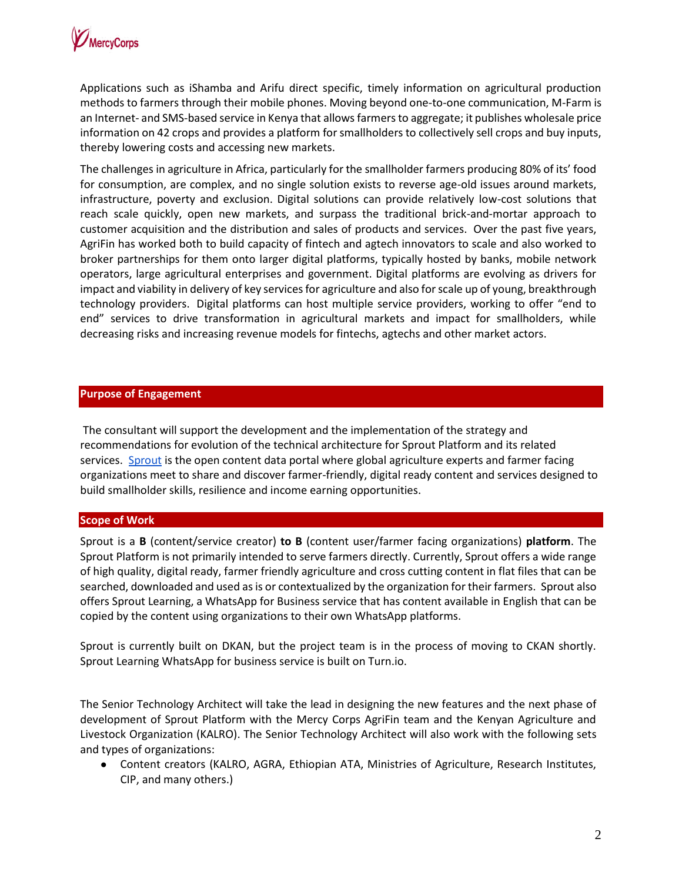

Applications such as iShamba and Arifu direct specific, timely information on agricultural production methods to farmers through their mobile phones. Moving beyond one-to-one communication, M-Farm is an Internet- and SMS-based service in Kenya that allows farmers to aggregate; it publishes wholesale price information on 42 crops and provides a platform for smallholders to collectively sell crops and buy inputs, thereby lowering costs and accessing new markets.

The challenges in agriculture in Africa, particularly for the smallholder farmers producing 80% of its' food for consumption, are complex, and no single solution exists to reverse age-old issues around markets, infrastructure, poverty and exclusion. Digital solutions can provide relatively low-cost solutions that reach scale quickly, open new markets, and surpass the traditional brick-and-mortar approach to customer acquisition and the distribution and sales of products and services. Over the past five years, AgriFin has worked both to build capacity of fintech and agtech innovators to scale and also worked to broker partnerships for them onto larger digital platforms, typically hosted by banks, mobile network operators, large agricultural enterprises and government. Digital platforms are evolving as drivers for impact and viability in delivery of key services for agriculture and also for scale up of young, breakthrough technology providers. Digital platforms can host multiple service providers, working to offer "end to end" services to drive transformation in agricultural markets and impact for smallholders, while decreasing risks and increasing revenue models for fintechs, agtechs and other market actors.

### **Purpose of Engagement**

The consultant will support the development and the implementation of the strategy and recommendations for evolution of the technical architecture for Sprout Platform and its related services. [Sprout](https://sproutopencontent.com/) is the open content data portal where global agriculture experts and farmer facing organizations meet to share and discover farmer-friendly, digital ready content and services designed to build smallholder skills, resilience and income earning opportunities.

### **Scope of Work**

Sprout is a **B** (content/service creator) **to B** (content user/farmer facing organizations) **platform**. The Sprout Platform is not primarily intended to serve farmers directly. Currently, Sprout offers a wide range of high quality, digital ready, farmer friendly agriculture and cross cutting content in flat files that can be searched, downloaded and used as is or contextualized by the organization for their farmers. Sprout also offers Sprout Learning, a WhatsApp for Business service that has content available in English that can be copied by the content using organizations to their own WhatsApp platforms.

Sprout is currently built on DKAN, but the project team is in the process of moving to CKAN shortly. Sprout Learning WhatsApp for business service is built on Turn.io.

The Senior Technology Architect will take the lead in designing the new features and the next phase of development of Sprout Platform with the Mercy Corps AgriFin team and the Kenyan Agriculture and Livestock Organization (KALRO). The Senior Technology Architect will also work with the following sets and types of organizations:

● Content creators (KALRO, AGRA, Ethiopian ATA, Ministries of Agriculture, Research Institutes, CIP, and many others.)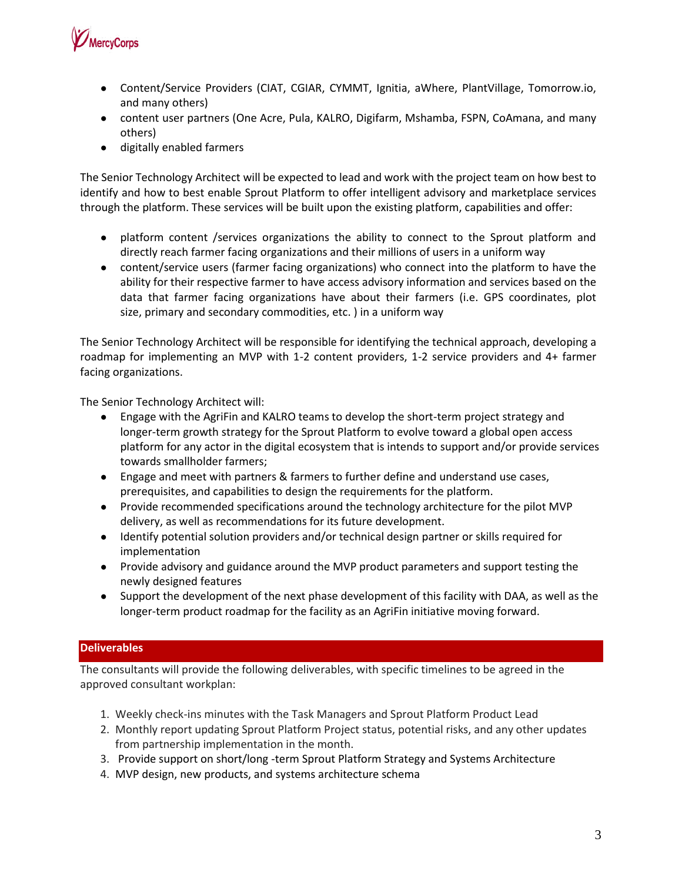

- Content/Service Providers (CIAT, CGIAR, CYMMT, Ignitia, aWhere, PlantVillage, Tomorrow.io, and many others)
- content user partners (One Acre, Pula, KALRO, Digifarm, Mshamba, FSPN, CoAmana, and many others)
- digitally enabled farmers

The Senior Technology Architect will be expected to lead and work with the project team on how best to identify and how to best enable Sprout Platform to offer intelligent advisory and marketplace services through the platform. These services will be built upon the existing platform, capabilities and offer:

- platform content /services organizations the ability to connect to the Sprout platform and directly reach farmer facing organizations and their millions of users in a uniform way
- content/service users (farmer facing organizations) who connect into the platform to have the ability for their respective farmer to have access advisory information and services based on the data that farmer facing organizations have about their farmers (i.e. GPS coordinates, plot size, primary and secondary commodities, etc. ) in a uniform way

The Senior Technology Architect will be responsible for identifying the technical approach, developing a roadmap for implementing an MVP with 1-2 content providers, 1-2 service providers and 4+ farmer facing organizations.

The Senior Technology Architect will:

- Engage with the AgriFin and KALRO teams to develop the short-term project strategy and longer-term growth strategy for the Sprout Platform to evolve toward a global open access platform for any actor in the digital ecosystem that is intends to support and/or provide services towards smallholder farmers;
- Engage and meet with partners & farmers to further define and understand use cases, prerequisites, and capabilities to design the requirements for the platform.
- Provide recommended specifications around the technology architecture for the pilot MVP delivery, as well as recommendations for its future development.
- Identify potential solution providers and/or technical design partner or skills required for implementation
- Provide advisory and guidance around the MVP product parameters and support testing the newly designed features
- Support the development of the next phase development of this facility with DAA, as well as the longer-term product roadmap for the facility as an AgriFin initiative moving forward.

## **Deliverables**

The consultants will provide the following deliverables, with specific timelines to be agreed in the approved consultant workplan:

- 1. Weekly check-ins minutes with the Task Managers and Sprout Platform Product Lead
- 2. Monthly report updating Sprout Platform Project status, potential risks, and any other updates from partnership implementation in the month.
- 3. Provide support on short/long -term Sprout Platform Strategy and Systems Architecture
- 4. MVP design, new products, and systems architecture schema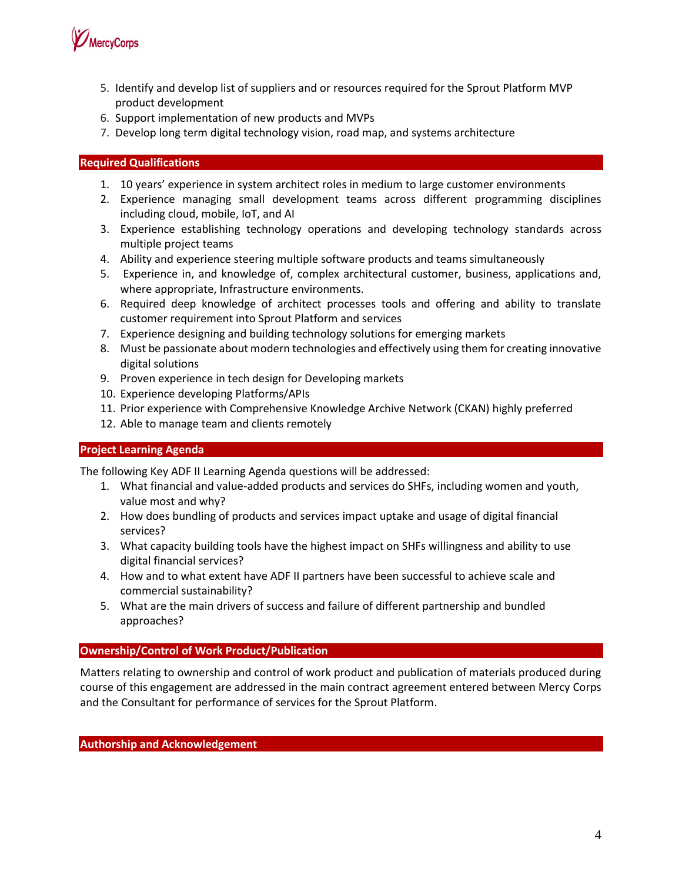

- 5. Identify and develop list of suppliers and or resources required for the Sprout Platform MVP product development
- 6. Support implementation of new products and MVPs
- 7. Develop long term digital technology vision, road map, and systems architecture

### **Required Qualifications**

- 1. 10 years' experience in system architect roles in medium to large customer environments
- 2. Experience managing small development teams across different programming disciplines including cloud, mobile, IoT, and AI
- 3. Experience establishing technology operations and developing technology standards across multiple project teams
- 4. Ability and experience steering multiple software products and teams simultaneously
- 5. Experience in, and knowledge of, complex architectural customer, business, applications and, where appropriate, Infrastructure environments.
- 6. Required deep knowledge of architect processes tools and offering and ability to translate customer requirement into Sprout Platform and services
- 7. Experience designing and building technology solutions for emerging markets
- 8. Must be passionate about modern technologies and effectively using them for creating innovative digital solutions
- 9. Proven experience in tech design for Developing markets
- 10. Experience developing Platforms/APIs
- 11. Prior experience with Comprehensive Knowledge Archive Network (CKAN) highly preferred
- 12. Able to manage team and clients remotely

### **Project Learning Agenda**

The following Key ADF II Learning Agenda questions will be addressed:

- 1. What financial and value-added products and services do SHFs, including women and youth, value most and why?
- 2. How does bundling of products and services impact uptake and usage of digital financial services?
- 3. What capacity building tools have the highest impact on SHFs willingness and ability to use digital financial services?
- 4. How and to what extent have ADF II partners have been successful to achieve scale and commercial sustainability?
- 5. What are the main drivers of success and failure of different partnership and bundled approaches?

### **Ownership/Control of Work Product/Publication**

Matters relating to ownership and control of work product and publication of materials produced during course of this engagement are addressed in the main contract agreement entered between Mercy Corps and the Consultant for performance of services for the Sprout Platform.

**Authorship and Acknowledgement**